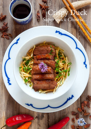# Crispy Duck<br>Super quick Chinese...

1 S.S.